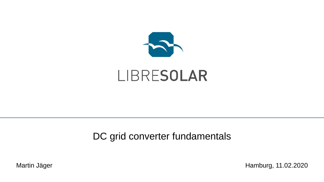

# LIBRESOLAR

## DC grid converter fundamentals

Martin Jäger **Hamburg, 11.02.2020**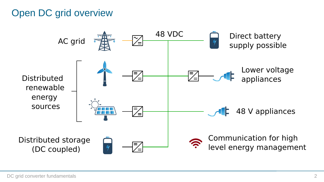# Open DC grid overview

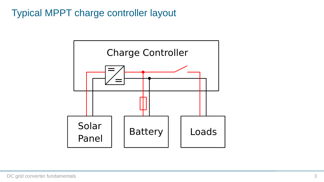# Typical MPPT charge controller layout

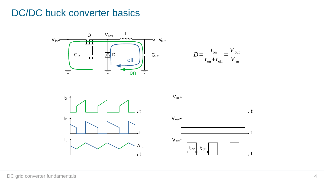#### DC/DC buck converter basics







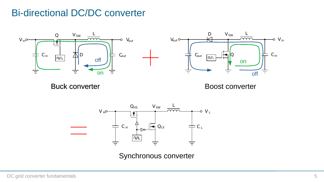## Bi-directional DC/DC converter





Buck converter extending the Boost converter



Synchronous converter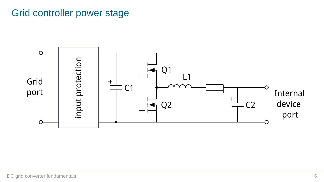# Grid controller power stage

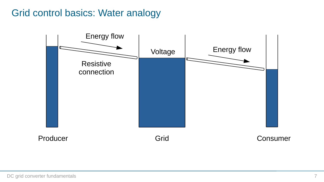# Grid control basics: Water analogy